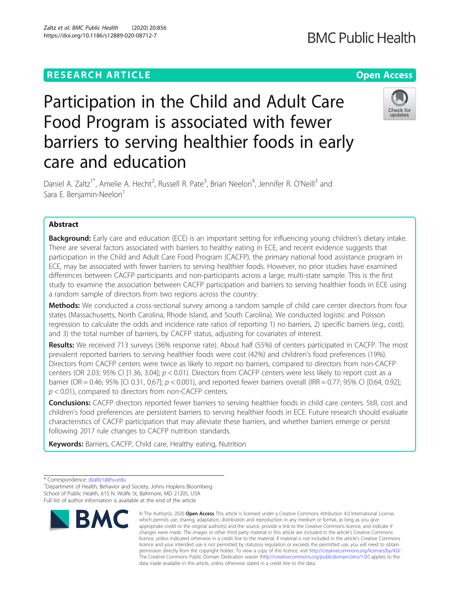## **RESEARCH ARTICLE Example 2014 12:30 The Contract of Contract ACCESS**

# **BMC Public Health**

## Check for undates

Participation in the Child and Adult Care Food Program is associated with fewer barriers to serving healthier foods in early care and education

Daniel A. Zaltz<sup>1\*</sup>, Amelie A. Hecht<sup>2</sup>, Russell R. Pate<sup>3</sup>, Brian Neelon<sup>4</sup>, Jennifer R. O'Neill<sup>3</sup> and Sara E. Benjamin-Neelon<sup>1</sup>

## Abstract

Background: Early care and education (ECE) is an important setting for influencing young children's dietary intake. There are several factors associated with barriers to healthy eating in ECE, and recent evidence suggests that participation in the Child and Adult Care Food Program (CACFP), the primary national food assistance program in ECE, may be associated with fewer barriers to serving healthier foods. However, no prior studies have examined differences between CACFP participants and non-participants across a large, multi-state sample. This is the first study to examine the association between CACFP participation and barriers to serving healthier foods in ECE using a random sample of directors from two regions across the country.

Methods: We conducted a cross-sectional survey among a random sample of child care center directors from four states (Massachusetts, North Carolina, Rhode Island, and South Carolina). We conducted logistic and Poisson regression to calculate the odds and incidence rate ratios of reporting 1) no barriers, 2) specific barriers (e.g., cost), and 3) the total number of barriers, by CACFP status, adjusting for covariates of interest.

Results: We received 713 surveys (36% response rate). About half (55%) of centers participated in CACFP. The most prevalent reported barriers to serving healthier foods were cost (42%) and children's food preferences (19%). Directors from CACFP centers were twice as likely to report no barriers, compared to directors from non-CACFP centers (OR 2.03; 95% CI [1.36, 3.04];  $p < 0.01$ ). Directors from CACFP centers were less likely to report cost as a barrier (OR = 0.46; 95% [CI 0.31, 0.67]; p < 0.001), and reported fewer barriers overall (IRR = 0.77; 95% CI [0.64, 0.92];  $p < 0.01$ ), compared to directors from non-CACFP centers.

**Conclusions:** CACFP directors reported fewer barriers to serving healthier foods in child care centers. Still, cost and children's food preferences are persistent barriers to serving healthier foods in ECE. Future research should evaluate characteristics of CACFP participation that may alleviate these barriers, and whether barriers emerge or persist following 2017 rule changes to CACFP nutrition standards.

Keywords: Barriers, CACFP, Child care, Healthy eating, Nutrition

<sup>&</sup>lt;sup>1</sup> Department of Health, Behavior and Society, Johns Hopkins Bloomberg School of Public Health, 615 N. Wolfe St, Baltimore, MD 21205, USA Full list of author information is available at the end of the article



<sup>©</sup> The Author(s), 2020 **Open Access** This article is licensed under a Creative Commons Attribution 4.0 International License, which permits use, sharing, adaptation, distribution and reproduction in any medium or format, as long as you give appropriate credit to the original author(s) and the source, provide a link to the Creative Commons licence, and indicate if changes were made. The images or other third party material in this article are included in the article's Creative Commons licence, unless indicated otherwise in a credit line to the material. If material is not included in the article's Creative Commons licence and your intended use is not permitted by statutory regulation or exceeds the permitted use, you will need to obtain permission directly from the copyright holder. To view a copy of this licence, visit [http://creativecommons.org/licenses/by/4.0/.](http://creativecommons.org/licenses/by/4.0/) The Creative Commons Public Domain Dedication waiver [\(http://creativecommons.org/publicdomain/zero/1.0/](http://creativecommons.org/publicdomain/zero/1.0/)) applies to the data made available in this article, unless otherwise stated in a credit line to the data.

<sup>\*</sup> Correspondence: [dzaltz1@jhu.edu](mailto:dzaltz1@jhu.edu) <sup>1</sup>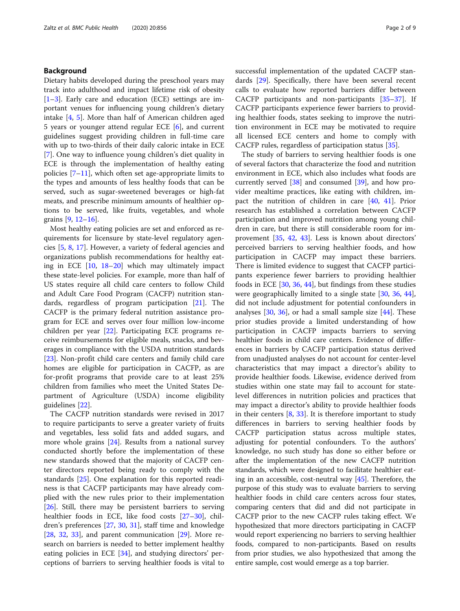## Background

Dietary habits developed during the preschool years may track into adulthood and impact lifetime risk of obesity  $[1-3]$  $[1-3]$  $[1-3]$  $[1-3]$ . Early care and education (ECE) settings are important venues for influencing young children's dietary intake [\[4](#page-7-0), [5\]](#page-7-0). More than half of American children aged 5 years or younger attend regular ECE [\[6](#page-7-0)], and current guidelines suggest providing children in full-time care with up to two-thirds of their daily caloric intake in ECE [[7\]](#page-7-0). One way to influence young children's diet quality in ECE is through the implementation of healthy eating policies [[7](#page-7-0)–[11](#page-7-0)], which often set age-appropriate limits to the types and amounts of less healthy foods that can be served, such as sugar-sweetened beverages or high-fat meats, and prescribe minimum amounts of healthier options to be served, like fruits, vegetables, and whole grains [\[9](#page-7-0), [12](#page-7-0)–[16\]](#page-7-0).

Most healthy eating policies are set and enforced as requirements for licensure by state-level regulatory agencies [\[5](#page-7-0), [8](#page-7-0), [17](#page-7-0)]. However, a variety of federal agencies and organizations publish recommendations for healthy eating in ECE [[10,](#page-7-0) [18](#page-7-0)–[20\]](#page-7-0) which may ultimately impact these state-level policies. For example, more than half of US states require all child care centers to follow Child and Adult Care Food Program (CACFP) nutrition standards, regardless of program participation [[21](#page-7-0)]. The CACFP is the primary federal nutrition assistance program for ECE and serves over four million low-income children per year [\[22](#page-7-0)]. Participating ECE programs receive reimbursements for eligible meals, snacks, and beverages in compliance with the USDA nutrition standards [[23\]](#page-7-0). Non-profit child care centers and family child care homes are eligible for participation in CACFP, as are for-profit programs that provide care to at least 25% children from families who meet the United States Department of Agriculture (USDA) income eligibility guidelines [[22](#page-7-0)].

The CACFP nutrition standards were revised in 2017 to require participants to serve a greater variety of fruits and vegetables, less solid fats and added sugars, and more whole grains [\[24](#page-7-0)]. Results from a national survey conducted shortly before the implementation of these new standards showed that the majority of CACFP center directors reported being ready to comply with the standards [[25\]](#page-7-0). One explanation for this reported readiness is that CACFP participants may have already complied with the new rules prior to their implementation [[26\]](#page-7-0). Still, there may be persistent barriers to serving healthier foods in ECE, like food costs [[27](#page-7-0)–[30](#page-7-0)], children's preferences [[27](#page-7-0), [30,](#page-7-0) [31\]](#page-8-0), staff time and knowledge  $[28, 32, 33]$  $[28, 32, 33]$  $[28, 32, 33]$  $[28, 32, 33]$  $[28, 32, 33]$  $[28, 32, 33]$  $[28, 32, 33]$ , and parent communication  $[29]$  $[29]$ . More research on barriers is needed to better implement healthy eating policies in ECE [[34\]](#page-8-0), and studying directors' perceptions of barriers to serving healthier foods is vital to successful implementation of the updated CACFP standards [[29\]](#page-7-0). Specifically, there have been several recent calls to evaluate how reported barriers differ between CACFP participants and non-participants [\[35](#page-8-0)–[37\]](#page-8-0). If CACFP participants experience fewer barriers to providing healthier foods, states seeking to improve the nutrition environment in ECE may be motivated to require all licensed ECE centers and home to comply with CACFP rules, regardless of participation status [\[35](#page-8-0)].

The study of barriers to serving healthier foods is one of several factors that characterize the food and nutrition environment in ECE, which also includes what foods are currently served  $[38]$  $[38]$  and consumed  $[39]$  $[39]$ , and how provider mealtime practices, like eating with children, impact the nutrition of children in care [[40,](#page-8-0) [41](#page-8-0)]. Prior research has established a correlation between CACFP participation and improved nutrition among young children in care, but there is still considerable room for improvement [\[35](#page-8-0), [42,](#page-8-0) [43\]](#page-8-0). Less is known about directors' perceived barriers to serving healthier foods, and how participation in CACFP may impact these barriers. There is limited evidence to suggest that CACFP participants experience fewer barriers to providing healthier foods in ECE [\[30](#page-7-0), [36,](#page-8-0) [44\]](#page-8-0), but findings from these studies were geographically limited to a single state [[30,](#page-7-0) [36,](#page-8-0) [44](#page-8-0)], did not include adjustment for potential confounders in analyses  $[30, 36]$  $[30, 36]$  $[30, 36]$ , or had a small sample size  $[44]$  $[44]$  $[44]$ . These prior studies provide a limited understanding of how participation in CACFP impacts barriers to serving healthier foods in child care centers. Evidence of differences in barriers by CACFP participation status derived from unadjusted analyses do not account for center-level characteristics that may impact a director's ability to provide healthier foods. Likewise, evidence derived from studies within one state may fail to account for statelevel differences in nutrition policies and practices that may impact a director's ability to provide healthier foods in their centers [[8,](#page-7-0) [33\]](#page-8-0). It is therefore important to study differences in barriers to serving healthier foods by CACFP participation status across multiple states, adjusting for potential confounders. To the authors' knowledge, no such study has done so either before or after the implementation of the new CACFP nutrition standards, which were designed to facilitate healthier eating in an accessible, cost-neutral way [[45](#page-8-0)]. Therefore, the purpose of this study was to evaluate barriers to serving healthier foods in child care centers across four states, comparing centers that did and did not participate in CACFP prior to the new CACFP rules taking effect. We hypothesized that more directors participating in CACFP would report experiencing no barriers to serving healthier foods, compared to non-participants. Based on results from prior studies, we also hypothesized that among the entire sample, cost would emerge as a top barrier.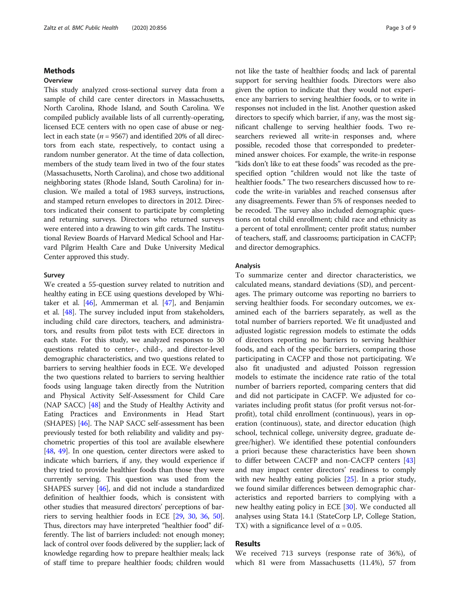## Methods

## **Overview**

This study analyzed cross-sectional survey data from a sample of child care center directors in Massachusetts, North Carolina, Rhode Island, and South Carolina. We compiled publicly available lists of all currently-operating, licensed ECE centers with no open case of abuse or neglect in each state ( $n = 9567$ ) and identified 20% of all directors from each state, respectively, to contact using a random number generator. At the time of data collection, members of the study team lived in two of the four states (Massachusetts, North Carolina), and chose two additional neighboring states (Rhode Island, South Carolina) for inclusion. We mailed a total of 1983 surveys, instructions, and stamped return envelopes to directors in 2012. Directors indicated their consent to participate by completing and returning surveys. Directors who returned surveys were entered into a drawing to win gift cards. The Institutional Review Boards of Harvard Medical School and Harvard Pilgrim Health Care and Duke University Medical Center approved this study.

### Survey

We created a 55-question survey related to nutrition and healthy eating in ECE using questions developed by Whitaker et al. [[46](#page-8-0)], Ammerman et al. [\[47\]](#page-8-0), and Benjamin et al. [[48](#page-8-0)]. The survey included input from stakeholders, including child care directors, teachers, and administrators, and results from pilot tests with ECE directors in each state. For this study, we analyzed responses to 30 questions related to center-, child-, and director-level demographic characteristics, and two questions related to barriers to serving healthier foods in ECE. We developed the two questions related to barriers to serving healthier foods using language taken directly from the Nutrition and Physical Activity Self-Assessment for Child Care (NAP SACC) [[48](#page-8-0)] and the Study of Healthy Activity and Eating Practices and Environments in Head Start (SHAPES) [\[46\]](#page-8-0). The NAP SACC self-assessment has been previously tested for both reliability and validity and psychometric properties of this tool are available elsewhere [[48](#page-8-0), [49](#page-8-0)]. In one question, center directors were asked to indicate which barriers, if any, they would experience if they tried to provide healthier foods than those they were currently serving. This question was used from the SHAPES survey [[46\]](#page-8-0), and did not include a standardized definition of healthier foods, which is consistent with other studies that measured directors' perceptions of barriers to serving healthier foods in ECE [\[29,](#page-7-0) [30,](#page-7-0) [36](#page-8-0), [50](#page-8-0)]. Thus, directors may have interpreted "healthier food" differently. The list of barriers included: not enough money; lack of control over foods delivered by the supplier; lack of knowledge regarding how to prepare healthier meals; lack of staff time to prepare healthier foods; children would

not like the taste of healthier foods; and lack of parental support for serving healthier foods. Directors were also given the option to indicate that they would not experience any barriers to serving healthier foods, or to write in responses not included in the list. Another question asked directors to specify which barrier, if any, was the most significant challenge to serving healthier foods. Two researchers reviewed all write-in responses and, where possible, recoded those that corresponded to predetermined answer choices. For example, the write-in response "kids don't like to eat these foods" was recoded as the prespecified option "children would not like the taste of healthier foods." The two researchers discussed how to recode the write-in variables and reached consensus after any disagreements. Fewer than 5% of responses needed to be recoded. The survey also included demographic questions on total child enrollment; child race and ethnicity as a percent of total enrollment; center profit status; number of teachers, staff, and classrooms; participation in CACFP; and director demographics.

### Analysis

To summarize center and director characteristics, we calculated means, standard deviations (SD), and percentages. The primary outcome was reporting no barriers to serving healthier foods. For secondary outcomes, we examined each of the barriers separately, as well as the total number of barriers reported. We fit unadjusted and adjusted logistic regression models to estimate the odds of directors reporting no barriers to serving healthier foods, and each of the specific barriers, comparing those participating in CACFP and those not participating. We also fit unadjusted and adjusted Poisson regression models to estimate the incidence rate ratio of the total number of barriers reported, comparing centers that did and did not participate in CACFP. We adjusted for covariates including profit status (for profit versus not-forprofit), total child enrollment (continuous), years in operation (continuous), state, and director education (high school, technical college, university degree, graduate degree/higher). We identified these potential confounders a priori because these characteristics have been shown to differ between CACFP and non-CACFP centers [[43](#page-8-0)] and may impact center directors' readiness to comply with new healthy eating policies [[25\]](#page-7-0). In a prior study, we found similar differences between demographic characteristics and reported barriers to complying with a new healthy eating policy in ECE [[30](#page-7-0)]. We conducted all analyses using Stata 14.1 (StateCorp LP, College Station, TX) with a significance level of  $\alpha$  = 0.05.

## Results

We received 713 surveys (response rate of 36%), of which 81 were from Massachusetts (11.4%), 57 from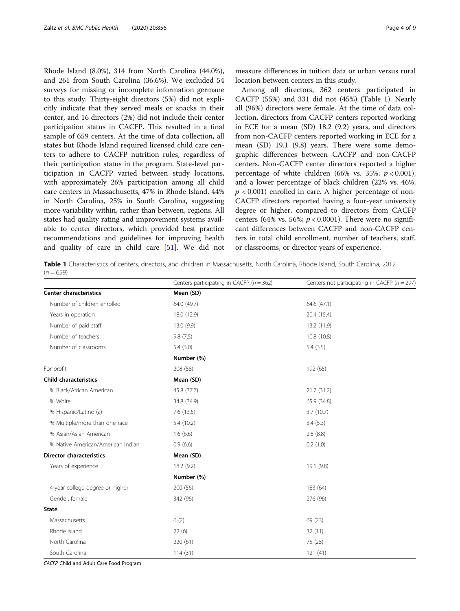Rhode Island (8.0%), 314 from North Carolina (44.0%), and 261 from South Carolina (36.6%). We excluded 54 surveys for missing or incomplete information germane to this study. Thirty-eight directors (5%) did not explicitly indicate that they served meals or snacks in their center, and 16 directors (2%) did not include their center participation status in CACFP. This resulted in a final sample of 659 centers. At the time of data collection, all states but Rhode Island required licensed child care centers to adhere to CACFP nutrition rules, regardless of their participation status in the program. State-level participation in CACFP varied between study locations, with approximately 26% participation among all child care centers in Massachusetts, 47% in Rhode Island, 44% in North Carolina, 25% in South Carolina, suggesting more variability within, rather than between, regions. All states had quality rating and improvement systems available to center directors, which provided best practice recommendations and guidelines for improving health and quality of care in child care [[51\]](#page-8-0). We did not

measure differences in tuition data or urban versus rural location between centers in this study.

Among all directors, 362 centers participated in CACFP (55%) and 331 did not (45%) (Table 1). Nearly all (96%) directors were female. At the time of data collection, directors from CACFP centers reported working in ECE for a mean (SD) 18.2 (9.2) years, and directors from non-CACFP centers reported working in ECE for a mean (SD) 19.1 (9.8) years. There were some demographic differences between CACFP and non-CACFP centers. Non-CACFP center directors reported a higher percentage of white children (66% vs. 35%;  $p < 0.001$ ), and a lower percentage of black children (22% vs. 46%;  $p < 0.001$ ) enrolled in care. A higher percentage of non-CACFP directors reported having a four-year university degree or higher, compared to directors from CACFP centers (64% vs. 56%;  $p < 0.0001$ ). There were no significant differences between CACFP and non-CACFP centers in total child enrollment, number of teachers, staff, or classrooms, or director years of experience.

Table 1 Characteristics of centers, directors, and children in Massachusetts, North Carolina, Rhode Island, South Carolina, 2012  $(n = 659)$ 

|                                   | Centers participating in CACFP ( $n = 362$ ) | Centers not participating in CACFP ( $n = 297$ ) |
|-----------------------------------|----------------------------------------------|--------------------------------------------------|
| <b>Center characteristics</b>     | Mean (SD)                                    |                                                  |
| Number of children enrolled       | 64.0 (49.7)                                  | 64.6 (47.1)                                      |
| Years in operation                | 18.0 (12.9)                                  | 20.4 (15.4)                                      |
| Number of paid staff              | 13.0 (9.9)                                   | 13.2 (11.9)                                      |
| Number of teachers                | 9.8(7.5)                                     | 10.8 (10.8)                                      |
| Number of classrooms              | 5.4(3.0)                                     | 5.4(3.5)                                         |
|                                   | Number (%)                                   |                                                  |
| For-profit                        | 208 (58)                                     | 192 (65)                                         |
| <b>Child characteristics</b>      | Mean (SD)                                    |                                                  |
| % Black/African American          | 45.8 (37.7)                                  | 21.7 (31.2)                                      |
| % White                           | 34.8 (34.9)                                  | 65.9 (34.8)                                      |
| % Hispanic/Latino (a)             | 7.6(13.5)                                    | 3.7(10.7)                                        |
| % Multiple/more than one race     | 5.4(10.2)                                    | 3.4(5.3)                                         |
| % Asian/Asian American            | 1.6(6.6)                                     | 2.8(8.8)                                         |
| % Native American/American Indian | 0.9(6.6)                                     | 0.2(1.0)                                         |
| <b>Director characteristics</b>   | Mean (SD)                                    |                                                  |
| Years of experience               | 18.2(9.2)                                    | 19.1 (9.8)                                       |
|                                   | Number (%)                                   |                                                  |
| 4-year college degree or higher   | 200(56)                                      | 183 (64)                                         |
| Gender, female                    | 342 (96)                                     | 276 (96)                                         |
| State                             |                                              |                                                  |
| Massachusetts                     | 6(2)                                         | 69 (23)                                          |
| Rhode Island                      | 22(6)                                        | 32(11)                                           |
| North Carolina                    | 220(61)                                      | 75 (25)                                          |
| South Carolina                    | 114(31)                                      | 121(41)                                          |

CACFP Child and Adult Care Food Program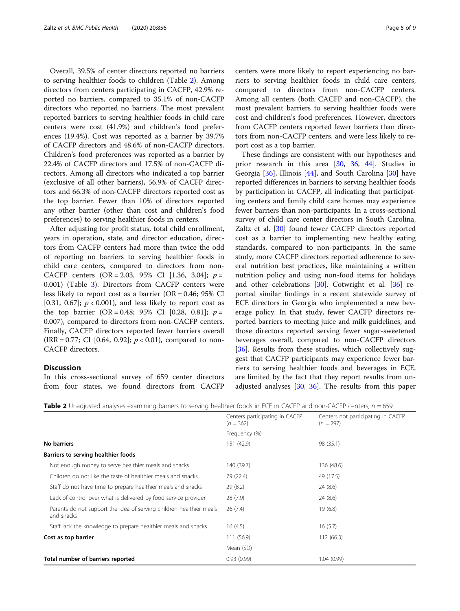Overall, 39.5% of center directors reported no barriers to serving healthier foods to children (Table 2). Among directors from centers participating in CACFP, 42.9% reported no barriers, compared to 35.1% of non-CACFP directors who reported no barriers. The most prevalent reported barriers to serving healthier foods in child care centers were cost (41.9%) and children's food preferences (19.4%). Cost was reported as a barrier by 39.7% of CACFP directors and 48.6% of non-CACFP directors. Children's food preferences was reported as a barrier by 22.4% of CACFP directors and 17.5% of non-CACFP directors. Among all directors who indicated a top barrier (exclusive of all other barriers), 56.9% of CACFP directors and 66.3% of non-CACFP directors reported cost as the top barrier. Fewer than 10% of directors reported any other barrier (other than cost and children's food preferences) to serving healthier foods in centers.

After adjusting for profit status, total child enrollment, years in operation, state, and director education, directors from CACFP centers had more than twice the odd of reporting no barriers to serving healthier foods in child care centers, compared to directors from non-CACFP centers  $(OR = 2.03, 95\% \text{ CI} [1.36, 3.04]; p =$ 0.001) (Table [3\)](#page-5-0). Directors from CACFP centers were less likely to report cost as a barrier ( $OR = 0.46$ ; 95% CI [0.31, 0.67];  $p < 0.001$ ), and less likely to report cost as the top barrier (OR = 0.48; 95% CI [0.28, 0.81];  $p =$ 0.007), compared to directors from non-CACFP centers. Finally, CACFP directors reported fewer barriers overall (IRR = 0.77; CI [0.64, 0.92];  $p < 0.01$ ), compared to non-CACFP directors.

## **Discussion**

In this cross-sectional survey of 659 center directors from four states, we found directors from CACFP centers were more likely to report experiencing no barriers to serving healthier foods in child care centers, compared to directors from non-CACFP centers. Among all centers (both CACFP and non-CACFP), the most prevalent barriers to serving healthier foods were cost and children's food preferences. However, directors from CACFP centers reported fewer barriers than directors from non-CACFP centers, and were less likely to report cost as a top barrier.

These findings are consistent with our hypotheses and prior research in this area [\[30](#page-7-0), [36,](#page-8-0) [44](#page-8-0)]. Studies in Georgia [[36](#page-8-0)], Illinois [[44\]](#page-8-0), and South Carolina [\[30](#page-7-0)] have reported differences in barriers to serving healthier foods by participation in CACFP, all indicating that participating centers and family child care homes may experience fewer barriers than non-participants. In a cross-sectional survey of child care center directors in South Carolina, Zaltz et al. [\[30](#page-7-0)] found fewer CACFP directors reported cost as a barrier to implementing new healthy eating standards, compared to non-participants. In the same study, more CACFP directors reported adherence to several nutrition best practices, like maintaining a written nutrition policy and using non-food items for holidays and other celebrations  $[30]$ . Cotwright et al.  $[36]$  $[36]$  reported similar findings in a recent statewide survey of ECE directors in Georgia who implemented a new beverage policy. In that study, fewer CACFP directors reported barriers to meeting juice and milk guidelines, and those directors reported serving fewer sugar-sweetened beverages overall, compared to non-CACFP directors [[36\]](#page-8-0). Results from these studies, which collectively suggest that CACFP participants may experience fewer barriers to serving healthier foods and beverages in ECE, are limited by the fact that they report results from unadjusted analyses [[30,](#page-7-0) [36](#page-8-0)]. The results from this paper

|  |  |  |  |  | <b>Table 2</b> Unadjusted analyses examining barriers to serving healthier foods in ECE in CACFP and non-CACFP centers, $n = 659$ |
|--|--|--|--|--|-----------------------------------------------------------------------------------------------------------------------------------|
|  |  |  |  |  |                                                                                                                                   |

|                                                                                   | Centers participating in CACFP<br>$(n = 362)$ | Centers not participating in CACFP<br>$(n = 297)$ |
|-----------------------------------------------------------------------------------|-----------------------------------------------|---------------------------------------------------|
|                                                                                   | Frequency (%)                                 |                                                   |
| No barriers                                                                       | 151 (42.9)                                    | 98 (35.1)                                         |
| Barriers to serving healthier foods                                               |                                               |                                                   |
| Not enough money to serve healthier meals and snacks                              | 140 (39.7)                                    | 136 (48.6)                                        |
| Children do not like the taste of healthier meals and snacks                      | 79 (22.4)                                     | 49 (17.5)                                         |
| Staff do not have time to prepare healthier meals and snacks                      | 29(8.2)                                       | 24(8.6)                                           |
| Lack of control over what is delivered by food service provider                   | 28(7.9)                                       | 24(8.6)                                           |
| Parents do not support the idea of serving children healthier meals<br>and snacks | 26(7.4)                                       | 19(6.8)                                           |
| Staff lack the knowledge to prepare healthier meals and snacks                    | 16(4.5)                                       | 16(5.7)                                           |
| Cost as top barrier                                                               | 111 (56.9)                                    | 112(66.3)                                         |
|                                                                                   | Mean (SD)                                     |                                                   |
| Total number of barriers reported                                                 | 0.93(0.99)                                    | 1.04(0.99)                                        |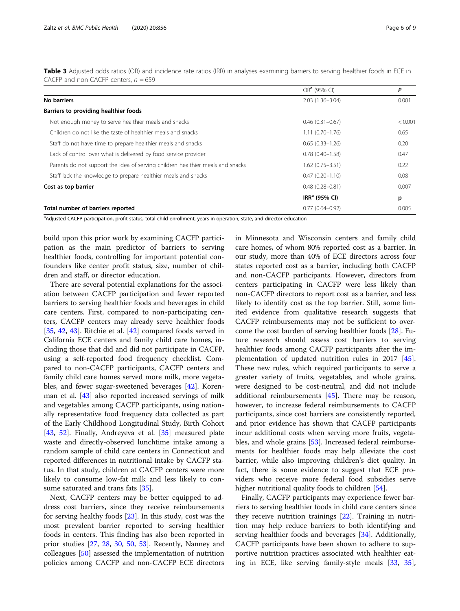<span id="page-5-0"></span>Table 3 Adjusted odds ratios (OR) and incidence rate ratios (IRR) in analyses examining barriers to serving healthier foods in ECE in CACFP and non-CACFP centers,  $n = 659$ 

|                                                                                | $ORa$ (95% CI)      | P       |
|--------------------------------------------------------------------------------|---------------------|---------|
| No barriers                                                                    | $2.03(1.36 - 3.04)$ | 0.001   |
| Barriers to providing healthier foods                                          |                     |         |
| Not enough money to serve healthier meals and snacks                           | $0.46(0.31 - 0.67)$ | < 0.001 |
| Children do not like the taste of healthier meals and snacks                   | $1.11(0.70 - 1.76)$ | 0.65    |
| Staff do not have time to prepare healthier meals and snacks                   | $0.65(0.33 - 1.26)$ | 0.20    |
| Lack of control over what is delivered by food service provider                | $0.78(0.40 - 1.58)$ | 0.47    |
| Parents do not support the idea of serving children healthier meals and snacks | $1.62(0.75 - 3.51)$ | 0.22    |
| Staff lack the knowledge to prepare healthier meals and snacks                 | $0.47(0.20 - 1.10)$ | 0.08    |
| Cost as top barrier                                                            | $0.48(0.28 - 0.81)$ | 0.007   |
|                                                                                | $IRRa$ (95% CI)     | р       |
| Total number of barriers reported                                              | $0.77(0.64 - 0.92)$ | 0.005   |

<sup>a</sup>Adjusted CACFP participation, profit status, total child enrollment, years in operation, state, and director education

build upon this prior work by examining CACFP participation as the main predictor of barriers to serving healthier foods, controlling for important potential confounders like center profit status, size, number of children and staff, or director education.

There are several potential explanations for the association between CACFP participation and fewer reported barriers to serving healthier foods and beverages in child care centers. First, compared to non-participating centers, CACFP centers may already serve healthier foods [[35,](#page-8-0) [42](#page-8-0), [43](#page-8-0)]. Ritchie et al. [\[42](#page-8-0)] compared foods served in California ECE centers and family child care homes, including those that did and did not participate in CACFP, using a self-reported food frequency checklist. Compared to non-CACFP participants, CACFP centers and family child care homes served more milk, more vegetables, and fewer sugar-sweetened beverages [[42](#page-8-0)]. Korenman et al. [\[43](#page-8-0)] also reported increased servings of milk and vegetables among CACFP participants, using nationally representative food frequency data collected as part of the Early Childhood Longitudinal Study, Birth Cohort [[43,](#page-8-0) [52\]](#page-8-0). Finally, Andreyeva et al. [[35](#page-8-0)] measured plate waste and directly-observed lunchtime intake among a random sample of child care centers in Connecticut and reported differences in nutritional intake by CACFP status. In that study, children at CACFP centers were more likely to consume low-fat milk and less likely to con-sume saturated and trans fats [\[35](#page-8-0)].

Next, CACFP centers may be better equipped to address cost barriers, since they receive reimbursements for serving healthy foods [[23\]](#page-7-0). In this study, cost was the most prevalent barrier reported to serving healthier foods in centers. This finding has also been reported in prior studies [\[27](#page-7-0), [28](#page-7-0), [30](#page-7-0), [50,](#page-8-0) [53\]](#page-8-0). Recently, Nanney and colleagues [[50\]](#page-8-0) assessed the implementation of nutrition policies among CACFP and non-CACFP ECE directors in Minnesota and Wisconsin centers and family child care homes, of whom 80% reported cost as a barrier. In our study, more than 40% of ECE directors across four states reported cost as a barrier, including both CACFP and non-CACFP participants. However, directors from centers participating in CACFP were less likely than non-CACFP directors to report cost as a barrier, and less likely to identify cost as the top barrier. Still, some limited evidence from qualitative research suggests that CACFP reimbursements may not be sufficient to overcome the cost burden of serving healthier foods [[28](#page-7-0)]. Future research should assess cost barriers to serving healthier foods among CACFP participants after the implementation of updated nutrition rules in 2017 [\[45](#page-8-0)]. These new rules, which required participants to serve a greater variety of fruits, vegetables, and whole grains, were designed to be cost-neutral, and did not include additional reimbursements [\[45](#page-8-0)]. There may be reason, however, to increase federal reimbursements to CACFP participants, since cost barriers are consistently reported, and prior evidence has shown that CACFP participants incur additional costs when serving more fruits, vegetables, and whole grains [[53](#page-8-0)]. Increased federal reimbursements for healthier foods may help alleviate the cost barrier, while also improving children's diet quality. In fact, there is some evidence to suggest that ECE providers who receive more federal food subsidies serve higher nutritional quality foods to children [\[54](#page-8-0)].

Finally, CACFP participants may experience fewer barriers to serving healthier foods in child care centers since they receive nutrition trainings [\[22](#page-7-0)]. Training in nutrition may help reduce barriers to both identifying and serving healthier foods and beverages [[34](#page-8-0)]. Additionally, CACFP participants have been shown to adhere to supportive nutrition practices associated with healthier eating in ECE, like serving family-style meals [\[33](#page-8-0), [35](#page-8-0)],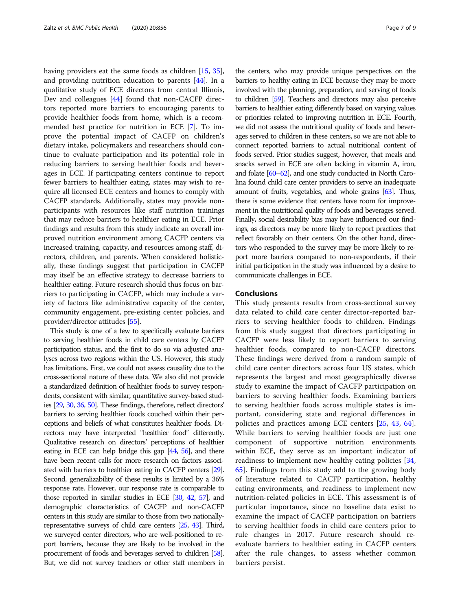having providers eat the same foods as children [\[15](#page-7-0), [35](#page-8-0)], and providing nutrition education to parents [[44\]](#page-8-0). In a qualitative study of ECE directors from central Illinois, Dev and colleagues [[44\]](#page-8-0) found that non-CACFP directors reported more barriers to encouraging parents to provide healthier foods from home, which is a recommended best practice for nutrition in ECE [[7\]](#page-7-0). To improve the potential impact of CACFP on children's dietary intake, policymakers and researchers should continue to evaluate participation and its potential role in reducing barriers to serving healthier foods and beverages in ECE. If participating centers continue to report fewer barriers to healthier eating, states may wish to require all licensed ECE centers and homes to comply with CACFP standards. Additionally, states may provide nonparticipants with resources like staff nutrition trainings that may reduce barriers to healthier eating in ECE. Prior findings and results from this study indicate an overall improved nutrition environment among CACFP centers via increased training, capacity, and resources among staff, directors, children, and parents. When considered holistically, these findings suggest that participation in CACFP may itself be an effective strategy to decrease barriers to healthier eating. Future research should thus focus on barriers to participating in CACFP, which may include a variety of factors like administrative capacity of the center, community engagement, pre-existing center policies, and provider/director attitudes [\[55\]](#page-8-0).

This study is one of a few to specifically evaluate barriers to serving healthier foods in child care centers by CACFP participation status, and the first to do so via adjusted analyses across two regions within the US. However, this study has limitations. First, we could not assess causality due to the cross-sectional nature of these data. We also did not provide a standardized definition of healthier foods to survey respondents, consistent with similar, quantitative survey-based studies [\[29](#page-7-0), [30](#page-7-0), [36,](#page-8-0) [50\]](#page-8-0). These findings, therefore, reflect directors' barriers to serving healthier foods couched within their perceptions and beliefs of what constitutes healthier foods. Directors may have interpreted "healthier food" differently. Qualitative research on directors' perceptions of healthier eating in ECE can help bridge this gap [[44,](#page-8-0) [56\]](#page-8-0), and there have been recent calls for more research on factors associated with barriers to healthier eating in CACFP centers [\[29\]](#page-7-0). Second, generalizability of these results is limited by a 36% response rate. However, our response rate is comparable to those reported in similar studies in ECE [[30,](#page-7-0) [42](#page-8-0), [57\]](#page-8-0), and demographic characteristics of CACFP and non-CACFP centers in this study are similar to those from two nationallyrepresentative surveys of child care centers [\[25,](#page-7-0) [43\]](#page-8-0). Third, we surveyed center directors, who are well-positioned to report barriers, because they are likely to be involved in the procurement of foods and beverages served to children [\[58\]](#page-8-0). But, we did not survey teachers or other staff members in

the centers, who may provide unique perspectives on the barriers to healthy eating in ECE because they may be more involved with the planning, preparation, and serving of foods to children [\[59](#page-8-0)]. Teachers and directors may also perceive barriers to healthier eating differently based on varying values or priorities related to improving nutrition in ECE. Fourth, we did not assess the nutritional quality of foods and beverages served to children in these centers, so we are not able to connect reported barriers to actual nutritional content of foods served. Prior studies suggest, however, that meals and snacks served in ECE are often lacking in vitamin A, iron, and folate [\[60](#page-8-0)–[62](#page-8-0)], and one study conducted in North Carolina found child care center providers to serve an inadequate amount of fruits, vegetables, and whole grains [\[63](#page-8-0)]. Thus, there is some evidence that centers have room for improvement in the nutritional quality of foods and beverages served. Finally, social desirability bias may have influenced our findings, as directors may be more likely to report practices that reflect favorably on their centers. On the other hand, directors who responded to the survey may be more likely to report more barriers compared to non-respondents, if their initial participation in the study was influenced by a desire to communicate challenges in ECE.

### Conclusions

This study presents results from cross-sectional survey data related to child care center director-reported barriers to serving healthier foods to children. Findings from this study suggest that directors participating in CACFP were less likely to report barriers to serving healthier foods, compared to non-CACFP directors. These findings were derived from a random sample of child care center directors across four US states, which represents the largest and most geographically diverse study to examine the impact of CACFP participation on barriers to serving healthier foods. Examining barriers to serving healthier foods across multiple states is important, considering state and regional differences in policies and practices among ECE centers [[25,](#page-7-0) [43](#page-8-0), [64](#page-8-0)]. While barriers to serving healthier foods are just one component of supportive nutrition environments within ECE, they serve as an important indicator of readiness to implement new healthy eating policies [\[34](#page-8-0), [65\]](#page-8-0). Findings from this study add to the growing body of literature related to CACFP participation, healthy eating environments, and readiness to implement new nutrition-related policies in ECE. This assessment is of particular importance, since no baseline data exist to examine the impact of CACFP participation on barriers to serving healthier foods in child care centers prior to rule changes in 2017. Future research should reevaluate barriers to healthier eating in CACFP centers after the rule changes, to assess whether common barriers persist.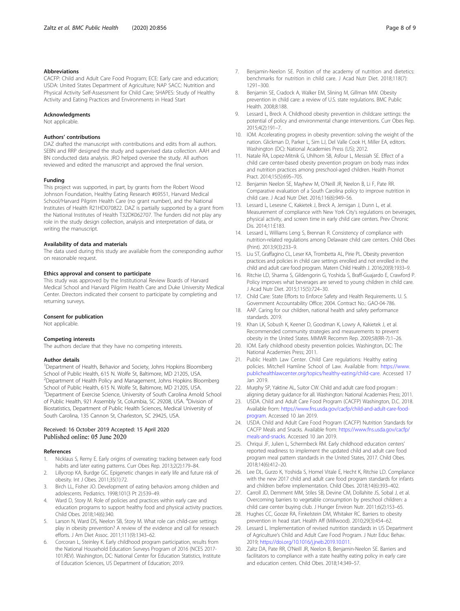### <span id="page-7-0"></span>Abbreviations

CACFP: Child and Adult Care Food Program; ECE: Early care and education; USDA: United States Department of Agriculture; NAP SACC: Nutrition and Physical Activity Self-Assessment for Child Care; SHAPES: Study of Healthy Activity and Eating Practices and Environments in Head Start

#### Acknowledgments

Not applicable.

#### Authors' contributions

DAZ drafted the manuscript with contributions and edits from all authors. SEBN and RRP designed the study and supervised data collection. AAH and BN conducted data analysis. JRO helped oversee the study. All authors reviewed and edited the manuscript and approved the final version.

#### Funding

This project was supported, in part, by grants from the Robert Wood Johnson Foundation, Healthy Eating Research #69551, Harvard Medical School/Harvard Pilgrim Health Care (no grant number), and the National Institutes of Health R21HD070822. DAZ is partially supported by a grant from the National Institutes of Health T32DK062707. The funders did not play any role in the study design collection, analysis and interpretation of data, or writing the manuscript.

#### Availability of data and materials

The data used during this study are available from the corresponding author on reasonable request.

### Ethics approval and consent to participate

This study was approved by the Institutional Review Boards of Harvard Medical School and Harvard Pilgrim Health Care and Duke University Medical Center. Directors indicated their consent to participate by completing and returning surveys.

#### Consent for publication

Not applicable.

#### Competing interests

The authors declare that they have no competing interests.

#### Author details

<sup>1</sup>Department of Health, Behavior and Society, Johns Hopkins Bloomberg School of Public Health, 615 N. Wolfe St, Baltimore, MD 21205, USA. <sup>2</sup>Department of Health Policy and Management, Johns Hopkins Bloomberg School of Public Health, 615 N. Wolfe St, Baltimore, MD 21205, USA. <sup>3</sup>Department of Exercise Science, University of South Carolina Arnold School of Public Health, 921 Assembly St, Columbia, SC 29208, USA. <sup>4</sup>Division of Biostatistics, Department of Public Health Sciences, Medical University of South Carolina, 135 Cannon St, Charleston, SC 29425, USA.

## Received: 16 October 2019 Accepted: 15 April 2020

#### References

- 1. Nicklaus S, Remy E. Early origins of overeating: tracking between early food habits and later eating patterns. Curr Obes Rep. 2013;2(2):179–84.
- 2. Lillycrop KA, Burdge GC. Epigenetic changes in early life and future risk of obesity. Int J Obes. 2011;35(1):72.
- Birch LL, Fisher JO. Development of eating behaviors among children and adolescents. Pediatrics. 1998;101(3 Pt 2):539–49.
- 4. Ward D, Story M. Role of policies and practices within early care and education programs to support healthy food and physical activity practices. Child Obes. 2018;14(6):340.
- Larson N, Ward DS, Neelon SB, Story M. What role can child-care settings play in obesity prevention? A review of the evidence and call for research efforts. J Am Diet Assoc. 2011;111(9):1343–62.
- 6. Corcoran L, Steinley K. Early childhood program participation, results from the National Household Education Surveys Program of 2016 (NCES 2017- 101.REV). Washington, DC: National Center for Education Statistics, Institute of Education Sciences, US Department of Education; 2019.
- 7. Benjamin-Neelon SE. Position of the academy of nutrition and dietetics: benchmarks for nutrition in child care. J Acad Nutr Diet. 2018;118(7): 1291–300.
- 8. Benjamin SE, Cradock A, Walker EM, Slining M, Gillman MW. Obesity prevention in child care: a review of U.S. state regulations. BMC Public Health. 2008;8:188.
- Lessard L, Breck A. Childhood obesity prevention in childcare settings: the potential of policy and environmental change interventions. Curr Obes Rep. 2015;4(2):191–7.
- 10. IOM. Accelerating progress in obesity prevention: solving the weight of the nation. Glickman D, Parker L, Sim LJ, Del Valle Cook H, Miller EA, editors. Washington (DC): National Academies Press (US); 2012.
- 11. Natale RA, Lopez-Mitnik G, Uhlhorn SB, Asfour L, Messiah SE. Effect of a child care center-based obesity prevention program on body mass index and nutrition practices among preschool-aged children. Health Promot Pract. 2014;15(5):695–705.
- 12. Benjamin Neelon SE, Mayhew M, O'Neill JR, Neelon B, Li F, Pate RR. Comparative evaluation of a South Carolina policy to improve nutrition in child care. J Acad Nutr Diet. 2016;116(6):949–56.
- 13. Lessard L, Lesesne C, Kakietek J, Breck A, Jernigan J, Dunn L, et al. Measurement of compliance with New York City's regulations on beverages, physical activity, and screen time in early child care centers. Prev Chronic Dis. 2014;11:E183.
- 14. Lessard L, Williams Leng S, Brennan R. Consistency of compliance with nutrition-related regulations among Delaware child care centers. Child Obes (Print). 2013;9(3):233–9.
- 15. Liu ST, Graffagino CL, Leser KA, Trombetta AL, Pirie PL. Obesity prevention practices and policies in child care settings enrolled and not enrolled in the child and adult care food program. Matern Child Health J. 2016;20(9):1933–9.
- 16. Ritchie LD, Sharma S, Gildengorin G, Yoshida S, Braff-Guajardo E, Crawford P. Policy improves what beverages are served to young children in child care. J Acad Nutr Diet. 2015;115(5):724–30.
- 17. Child Care: State Efforts to Enforce Safety and Health Requirements. U. S. Government Accountability Office; 2004. Contract No.: GAO-04-786.
- 18. AAP. Caring for our children, national health and safety performance standards. 2019.
- 19. Khan LK, Sobush K, Keener D, Goodman K, Lowry A, Kakietek J, et al. Recommended community strategies and measurements to prevent obesity in the United States. MMWR Recomm Rep. 2009;58(RR-7):1–26.
- 20. IOM. Early childhood obesity prevention policies. Washington, DC: The National Academies Press; 2011.
- 21. Public Health Law Center. Child Care regulations: Healthy eating policies. Mitchell Hamline School of Law. Available from: [https://www.](https://www.publichealthlawcenter.org/topics/healthy-eating/child-care) [publichealthlawcenter.org/topics/healthy-eating/child-care.](https://www.publichealthlawcenter.org/topics/healthy-eating/child-care) Accessed 17 Jan 2019.
- 22. Murphy SP, Yaktine AL, Suitor CW. Child and adult care food program : aligning dietary guidance for all. Washington: National Academies Press; 2011.
- 23. USDA. Child and Adult Care Food Program (CACFP) Washington, D.C. 2018. Available from: [https://www.fns.usda.gov/cacfp/child-and-adult-care-food](https://www.fns.usda.gov/cacfp/child-and-adult-care-food-program)[program](https://www.fns.usda.gov/cacfp/child-and-adult-care-food-program). Accessed 10 Jan 2019.
- 24. USDA. Child and Adult Care Food Program (CACFP) Nutrition Standards for CACFP Meals and Snacks. Available from: [https://www.fns.usda.gov/cacfp/](https://www.fns.usda.gov/cacfp/meals-and-snacks) [meals-and-snacks](https://www.fns.usda.gov/cacfp/meals-and-snacks). Accessed 10 Jan 2019.
- 25. Chriqui JF, Julien L, Schermbeck RM. Early childhood education centers' reported readiness to implement the updated child and adult care food program meal pattern standards in the United States, 2017. Child Obes. 2018;14(6):412–20.
- 26. Lee DL, Gurzo K, Yoshida S, Homel Vitale E, Hecht K, Ritchie LD. Compliance with the new 2017 child and adult care food program standards for infants and children before implementation. Child Obes. 2018;14(6):393–402.
- 27. Carroll JD, Demment MM, Stiles SB, Devine CM, Dollahite JS, Sobal J, et al. Overcoming barriers to vegetable consumption by preschool children: a child care center buying club. J Hunger Environ Nutr. 2011;6(2):153–65.
- 28. Hughes CC, Gooze RA, Finkelstein DM, Whitaker RC. Barriers to obesity prevention in head start. Health Aff (Millwood). 2010;29(3):454–62.
- 29. Lessard L. Implementation of revised nutrition standards in US Department of Agriculture's Child and Adult Care Food Program. J Nutr Educ Behav. 2019; <https://doi.org/10.1016/j.jneb.2019.10.011>.
- 30. Zaltz DA, Pate RR, O'Neill JR, Neelon B, Benjamin-Neelon SE. Barriers and facilitators to compliance with a state healthy eating policy in early care and education centers. Child Obes. 2018;14:349–57.